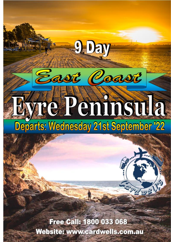# Eyre Peninsula

ast

**O. Day** 

aast

**WELL** 

Free Call: 1800 033 068 Website: www.cardwells.com.au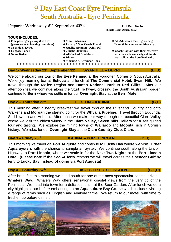# 9 Day East Coast Eyre Peninsula South Australia - Eyre Peninsula

# Departs: Wednesday 21<sup>st</sup> September 2022 Full Fare \$2667

# **TOUR INCLUDES:**

- 
- 
- 
- 
- 
- 
- 
- ⧫ **No Hidden Extras** ⧫ **Quality Accomm. Twin / Dbl** 
	-
	-
	-

**(Single Room Option: \$562)**

- ⧫ **Free passenger pickup & return** ⧫ **More Inclusions** ⧫ **All Admission fees, Sightseeing (please refer to booking conditions)** ⧫ **Luxury 5 Star Coach Travel Tours & lunches as per itinerary.**
- ⧫ **Luggage Labels** ⧫ **2-night Stopovers** ⧫ **Coach Captain with their extensive** ⧫ **Name Badge** ⧫ **All Cooked Breakfasts experience & knowledge of South** ◆ Dinners **Australia & the Eyre Peninsula.**

 ⧫ **Morning & Afternoon Teas <<<<<<<<<<<<<<<<<<<<<<<<<<<<<<<<<<<<<<<<<<<<<< >>>>>>>>>>>>>>>>>>>>>>>>>>>>>>>>>>>>>>>>>>>>>>>>**

# **Day 1- Wednesday 21st September '22 SWAN HILL – BERRI (L, D)**

Welcome aboard our tour of the **Eyre Peninsula**, the Forgotten Corner of South Australia. We enjoy morning tea at **Echuca** and lunch at **The Commercial Hotel, Swan Hill.** We travel through the Mallee Region and **Hattah National Park** to **Red Cliffs.** After our afternoon tea we continue along the Sturt Highway, crossing the South Australian border, continue to **Berri** where we settle in for our **Overnight Stay** at the **Berri Motel.** 

# Day 2 – Thursday 22<sup>nd</sup>

This morning after a hearty breakfast we travel through the Riverland Country and onto Waikerie and **Morgan** the starting point for the **Whyalla Pipeline**. Travel through Eudunda, Saddleworth and Auburn. After lunch we make our way through the beautiful Clare Valley where we visit the oldest winery in the **Clare Valley, Seven hills Cellars** for a self guided tour and tasting. We explore the mining towns of **Wallaroo** and **Moonta**, rich in Cornish history. We relax for our **Overnight Stay** at the **Clare Country Club, Clare.** 

# **Day 3 – Friday 23rd**

# **KADINA – PORT LINCOLN (B,D)**

This morning we travel via **Port Augusta** and continue to **Lucky Bay** where we visit **Turner Aqua oysters** with the chance to sample an oyster. We continue south along the Lincoln Highway to **Port Lincoln**, where we settle in for the **Next Two Nights** at the **Port Lincoln Hotel. (Please note if the SeaSA ferry** restarts we will travel across the **Spencer Gulf** by ferry to **Lucky Bay instead of going via Port Augusta)**

# **Day 4 – Saturday 24 th**

# **DISCOVER PORT LINCOLN (B,L,D)**

After breakfast this morning we head south for one of the most spectacular coastal drives – **Whalers Way**. Whalers Way offers sensational coastal views from the very tip of the Peninsula. We head into town for a delicious lunch at the Beer Garden. After lunch we do a city highlights tour before embarking on an **Aquaculture Bay Cruise** which includes visiting a range of farms such as Kingfish and Abalone farms. We return to our motel, with time to freshen up before dinner.



 **LOXTON – KADINA (B,D)**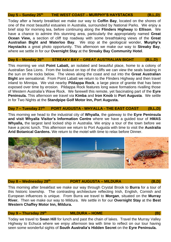**Day 5 – Sunday 25 th THE WEST COAST – MURPHY'S HAYSTACKS (B,L,D)**

Today after a hearty breakfast we make our way to **Coffin Bay**, located on the shores of one of the most beautiful estuaries in Australia, surrounded by National Parks. We enjoy a brief stop for morning tea, before continuing along the **Flinders Highway** to **Ellison**. We have a chance to admire this stunning area, particularly the appropriately named **Great Ocean View,** a section of cliff top roadway with some breathtaking views of the **Great Australian Bight and Waterloo Bay**. We stop at the geological wonder, **Murphy's Haystacks** a great photo opportunity. This afternoon we make our way to **Streaky Bay**, where we settle in for our **Overnight Stay** at the **Streaky Bay Community Hotel**.

# **Day 6 – Monday 26 th STREAKY BAY – GREAT AUSTRALIAN BIGHT (B,L,D)**

This morning we visit **Point Labatt,** an isolated and beautiful place, home to a colony of Australian Sea Lions. From the lookout on top of the cliffs we can view the seals basking in the sun on the rocks below. The views along the coast and out into the **Great Australian Bight** are sensational. From Point Labatt we return to the Flinders Highway and then travel inland to Minnipa. We visit nearby **Pildappa Rock**, a large piece of granite that has been exposed over time by erosion. Pildappa Rock features long wave formations rivalling those of Western Australia's Wave Rock. We farewell this remote, yet fascinating part of the **Eyre Peninsula.** This afternoon we travel via **Kimba** and **Iron Knob** to **Port Augusta**. We settle in for Two Nights at the **Standpipe Golf Motor Inn, Port Augusta.**

# **Day 7 – Tuesday 27 th PORT AUGUSTA - WHYALLA - THE EAST COAST (B,L,D)**

This morning we head to the industrial city of **Whyalla**, the gateway to the **Eyre Peninsula and visit Whyalla Visitor's Information Centre** where we have a guided tour of **HMAS Whyalla,** the largest land locked ship in Australia. We enjoy a tour of the town before we have a picnic lunch. This afternoon we return to Port Augusta with time to visit the **Australia Arid Botanical Gardens.** We return to the motel with time to relax before Dinner.



# **Day 8 – Wednesday 28 th**

# **PORT AUGUSTA – MILDURA** (B.D)

This morning after breakfast we make our way through Crystal Brook to **Burra** for a tour of this historic township. The contrasting architecture reflecting Irish, English, Cornish and European influences is unique. From Burra we travel to **Morgan**, situated on the **Murray River.** Then we make our way to Mildura. We settle in for our **Overnight Stay** at the **Best Western Chaffey Motor Inn, Mildura.**

# **Day 9 – Thursday 29th**

# **MILDURA – HOME (B)**

Today we travel to **Swan Hill** for lunch and past the chain of lakes. Travel the Murray Valley Highway to Echuca where we enjoy afternoon tea with time to reflect on our tour having seen some wonderful sights of **South Australia's Hidden Secret** on the **Eyre Peninsula.**